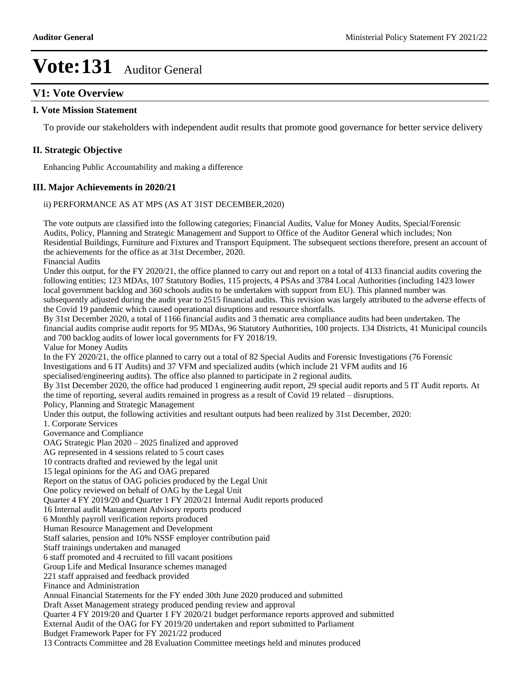### **V1: Vote Overview**

#### **I. Vote Mission Statement**

To provide our stakeholders with independent audit results that promote good governance for better service delivery

#### **II. Strategic Objective**

Enhancing Public Accountability and making a difference

#### **III. Major Achievements in 2020/21**

#### ii) PERFORMANCE AS AT MPS (AS AT 31ST DECEMBER,2020)

The vote outputs are classified into the following categories; Financial Audits, Value for Money Audits, Special/Forensic Audits, Policy, Planning and Strategic Management and Support to Office of the Auditor General which includes; Non Residential Buildings, Furniture and Fixtures and Transport Equipment. The subsequent sections therefore, present an account of the achievements for the office as at 31st December, 2020.

Financial Audits

Under this output, for the FY 2020/21, the office planned to carry out and report on a total of 4133 financial audits covering the following entities; 123 MDAs, 107 Statutory Bodies, 115 projects, 4 PSAs and 3784 Local Authorities (including 1423 lower local government backlog and 360 schools audits to be undertaken with support from EU). This planned number was subsequently adjusted during the audit year to 2515 financial audits. This revision was largely attributed to the adverse effects of the Covid 19 pandemic which caused operational disruptions and resource shortfalls.

By 31st December 2020, a total of 1166 financial audits and 3 thematic area compliance audits had been undertaken. The financial audits comprise audit reports for 95 MDAs, 96 Statutory Authorities, 100 projects. 134 Districts, 41 Municipal councils and 700 backlog audits of lower local governments for FY 2018/19.

Value for Money Audits

In the FY 2020/21, the office planned to carry out a total of 82 Special Audits and Forensic Investigations (76 Forensic Investigations and 6 IT Audits) and 37 VFM and specialized audits (which include 21 VFM audits and 16

specialised/engineering audits). The office also planned to participate in 2 regional audits.

By 31st December 2020, the office had produced 1 engineering audit report, 29 special audit reports and 5 IT Audit reports. At the time of reporting, several audits remained in progress as a result of Covid 19 related – disruptions.

Policy, Planning and Strategic Management

Under this output, the following activities and resultant outputs had been realized by 31st December, 2020:

1. Corporate Services

Governance and Compliance

OAG Strategic Plan  $2020 - 2025$  finalized and approved

AG represented in 4 sessions related to 5 court cases

10 contracts drafted and reviewed by the legal unit

15 legal opinions for the AG and OAG prepared

Report on the status of OAG policies produced by the Legal Unit

One policy reviewed on behalf of OAG by the Legal Unit

Quarter 4 FY 2019/20 and Quarter 1 FY 2020/21 Internal Audit reports produced

16 Internal audit Management Advisory reports produced

6 Monthly payroll verification reports produced

Human Resource Management and Development

Staff salaries, pension and 10% NSSF employer contribution paid

Staff trainings undertaken and managed

6 staff promoted and 4 recruited to fill vacant positions

Group Life and Medical Insurance schemes managed

221 staff appraised and feedback provided

Finance and Administration

Annual Financial Statements for the FY ended 30th June 2020 produced and submitted

Draft Asset Management strategy produced pending review and approval

Quarter 4 FY 2019/20 and Quarter 1 FY 2020/21 budget performance reports approved and submitted

External Audit of the OAG for FY 2019/20 undertaken and report submitted to Parliament

Budget Framework Paper for FY 2021/22 produced

13 Contracts Committee and 28 Evaluation Committee meetings held and minutes produced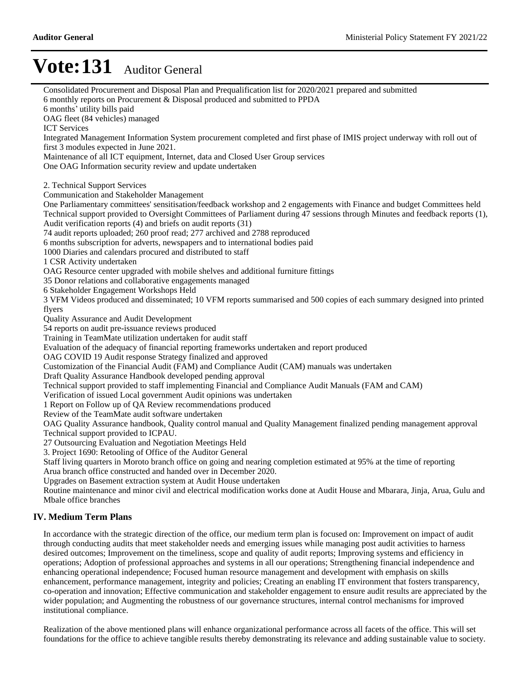Consolidated Procurement and Disposal Plan and Prequalification list for 2020/2021 prepared and submitted 6 monthly reports on Procurement & Disposal produced and submitted to PPDA 6 months' utility bills paid OAG fleet (84 vehicles) managed ICT Services Integrated Management Information System procurement completed and first phase of IMIS project underway with roll out of first 3 modules expected in June 2021. Maintenance of all ICT equipment, Internet, data and Closed User Group services One OAG Information security review and update undertaken 2. Technical Support Services Communication and Stakeholder Management One Parliamentary committees' sensitisation/feedback workshop and 2 engagements with Finance and budget Committees held Technical support provided to Oversight Committees of Parliament during 47 sessions through Minutes and feedback reports (1), Audit verification reports (4) and briefs on audit reports (31) 74 audit reports uploaded; 260 proof read; 277 archived and 2788 reproduced 6 months subscription for adverts, newspapers and to international bodies paid 1000 Diaries and calendars procured and distributed to staff 1 CSR Activity undertaken OAG Resource center upgraded with mobile shelves and additional furniture fittings 35 Donor relations and collaborative engagements managed 6 Stakeholder Engagement Workshops Held 3 VFM Videos produced and disseminated; 10 VFM reports summarised and 500 copies of each summary designed into printed flyers Quality Assurance and Audit Development 54 reports on audit pre-issuance reviews produced Training in TeamMate utilization undertaken for audit staff Evaluation of the adequacy of financial reporting frameworks undertaken and report produced OAG COVID 19 Audit response Strategy finalized and approved Customization of the Financial Audit (FAM) and Compliance Audit (CAM) manuals was undertaken Draft Quality Assurance Handbook developed pending approval Technical support provided to staff implementing Financial and Compliance Audit Manuals (FAM and CAM) Verification of issued Local government Audit opinions was undertaken 1 Report on Follow up of QA Review recommendations produced Review of the TeamMate audit software undertaken OAG Quality Assurance handbook, Quality control manual and Quality Management finalized pending management approval Technical support provided to ICPAU. 27 Outsourcing Evaluation and Negotiation Meetings Held 3. Project 1690: Retooling of Office of the Auditor General Staff living quarters in Moroto branch office on going and nearing completion estimated at 95% at the time of reporting Arua branch office constructed and handed over in December 2020. Upgrades on Basement extraction system at Audit House undertaken Routine maintenance and minor civil and electrical modification works done at Audit House and Mbarara, Jinja, Arua, Gulu and Mbale office branches **IV. Medium Term Plans** In accordance with the strategic direction of the office, our medium term plan is focused on: Improvement on impact of audit through conducting audits that meet stakeholder needs and emerging issues while managing post audit activities to harness desired outcomes; Improvement on the timeliness, scope and quality of audit reports; Improving systems and efficiency in operations; Adoption of professional approaches and systems in all our operations; Strengthening financial independence and enhancing operational independence; Focused human resource management and development with emphasis on skills

enhancement, performance management, integrity and policies; Creating an enabling IT environment that fosters transparency, co-operation and innovation; Effective communication and stakeholder engagement to ensure audit results are appreciated by the wider population; and Augmenting the robustness of our governance structures, internal control mechanisms for improved institutional compliance.

Realization of the above mentioned plans will enhance organizational performance across all facets of the office. This will set foundations for the office to achieve tangible results thereby demonstrating its relevance and adding sustainable value to society.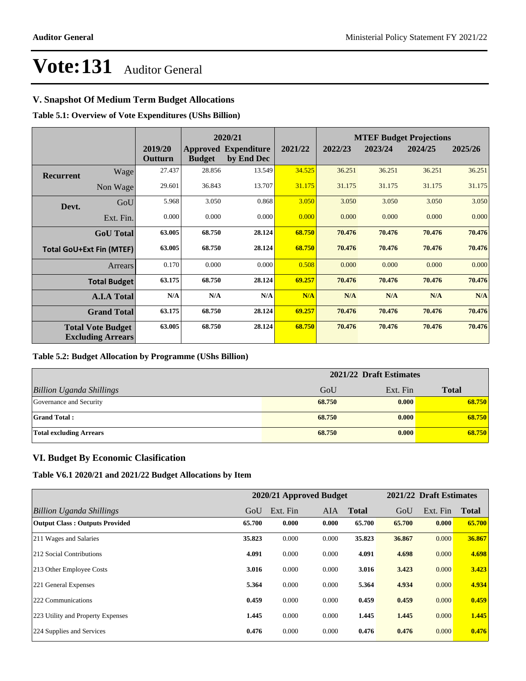### **V. Snapshot Of Medium Term Budget Allocations**

**Table 5.1: Overview of Vote Expenditures (UShs Billion)**

| 2020/21          |                                                      |                    |               |                                           | <b>MTEF Budget Projections</b> |         |         |         |         |
|------------------|------------------------------------------------------|--------------------|---------------|-------------------------------------------|--------------------------------|---------|---------|---------|---------|
|                  |                                                      | 2019/20<br>Outturn | <b>Budget</b> | <b>Approved Expenditure</b><br>by End Dec | 2021/22                        | 2022/23 | 2023/24 | 2024/25 | 2025/26 |
| <b>Recurrent</b> | Wage                                                 | 27.437             | 28.856        | 13.549                                    | 34.525                         | 36.251  | 36.251  | 36.251  | 36.251  |
|                  | Non Wage                                             | 29.601             | 36.843        | 13.707                                    | 31.175                         | 31.175  | 31.175  | 31.175  | 31.175  |
| Devt.            | GoU                                                  | 5.968              | 3.050         | 0.868                                     | 3.050                          | 3.050   | 3.050   | 3.050   | 3.050   |
|                  | Ext. Fin.                                            | 0.000              | 0.000         | 0.000                                     | 0.000                          | 0.000   | 0.000   | 0.000   | 0.000   |
|                  | <b>GoU</b> Total                                     | 63.005             | 68.750        | 28.124                                    | 68.750                         | 70.476  | 70.476  | 70.476  | 70.476  |
|                  | <b>Total GoU+Ext Fin (MTEF)</b>                      | 63.005             | 68.750        | 28.124                                    | 68.750                         | 70.476  | 70.476  | 70.476  | 70.476  |
|                  | Arrears                                              | 0.170              | 0.000         | 0.000                                     | 0.508                          | 0.000   | 0.000   | 0.000   | 0.000   |
|                  | <b>Total Budget</b>                                  | 63.175             | 68.750        | 28.124                                    | 69.257                         | 70.476  | 70.476  | 70.476  | 70.476  |
|                  | <b>A.I.A Total</b>                                   | N/A                | N/A           | N/A                                       | N/A                            | N/A     | N/A     | N/A     | N/A     |
|                  | <b>Grand Total</b>                                   | 63.175             | 68.750        | 28.124                                    | 69.257                         | 70.476  | 70.476  | 70.476  | 70.476  |
|                  | <b>Total Vote Budget</b><br><b>Excluding Arrears</b> | 63.005             | 68.750        | 28.124                                    | 68.750                         | 70.476  | 70.476  | 70.476  | 70.476  |

#### **Table 5.2: Budget Allocation by Programme (UShs Billion)**

|                                 | 2021/22 Draft Estimates |          |              |  |  |
|---------------------------------|-------------------------|----------|--------------|--|--|
| <b>Billion Uganda Shillings</b> | GoU                     | Ext. Fin | <b>Total</b> |  |  |
| Governance and Security         | 68.750                  | 0.000    | 68.750       |  |  |
| <b>Grand Total:</b>             | 68.750                  | 0.000    | 68.750       |  |  |
| <b>Total excluding Arrears</b>  | 68.750                  | 0.000    | 68.750       |  |  |

### **VI. Budget By Economic Clasification**

**Table V6.1 2020/21 and 2021/22 Budget Allocations by Item**

|                                       | 2020/21 Approved Budget |          |            |              | 2021/22 Draft Estimates |          |              |
|---------------------------------------|-------------------------|----------|------------|--------------|-------------------------|----------|--------------|
| Billion Uganda Shillings              | GoU                     | Ext. Fin | <b>AIA</b> | <b>Total</b> | GoU                     | Ext. Fin | <b>Total</b> |
| <b>Output Class: Outputs Provided</b> | 65.700                  | 0.000    | 0.000      | 65.700       | 65.700                  | 0.000    | 65.700       |
| 211 Wages and Salaries                | 35,823                  | 0.000    | 0.000      | 35.823       | 36.867                  | 0.000    | 36.867       |
| 212 Social Contributions              | 4.091                   | 0.000    | 0.000      | 4.091        | 4.698                   | 0.000    | 4.698        |
| 213 Other Employee Costs              | 3.016                   | 0.000    | 0.000      | 3.016        | 3.423                   | 0.000    | 3.423        |
| 221 General Expenses                  | 5.364                   | 0.000    | 0.000      | 5.364        | 4.934                   | 0.000    | 4.934        |
| 222 Communications                    | 0.459                   | 0.000    | 0.000      | 0.459        | 0.459                   | 0.000    | 0.459        |
| 223 Utility and Property Expenses     | 1.445                   | 0.000    | 0.000      | 1.445        | 1.445                   | 0.000    | 1.445        |
| 224 Supplies and Services             | 0.476                   | 0.000    | 0.000      | 0.476        | 0.476                   | 0.000    | 0.476        |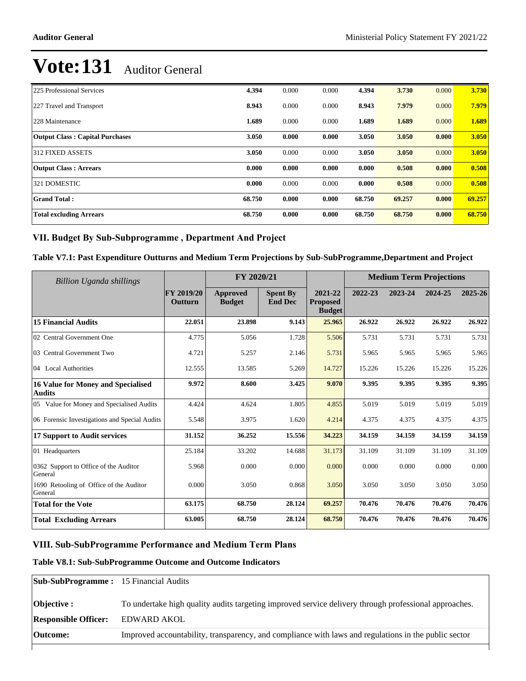| 225 Professional Services              | 4.394  | 0.000 | 0.000 | 4.394  | 3.730  | 0.000 | 3.730  |
|----------------------------------------|--------|-------|-------|--------|--------|-------|--------|
| 227 Travel and Transport               | 8.943  | 0.000 | 0.000 | 8.943  | 7.979  | 0.000 | 7.979  |
| 228 Maintenance                        | 1.689  | 0.000 | 0.000 | 1.689  | 1.689  | 0.000 | 1.689  |
| <b>Output Class: Capital Purchases</b> | 3.050  | 0.000 | 0.000 | 3.050  | 3.050  | 0.000 | 3.050  |
| 312 FIXED ASSETS                       | 3.050  | 0.000 | 0.000 | 3.050  | 3.050  | 0.000 | 3.050  |
| <b>Output Class: Arrears</b>           | 0.000  | 0.000 | 0.000 | 0.000  | 0.508  | 0.000 | 0.508  |
| 321 DOMESTIC                           | 0.000  | 0.000 | 0.000 | 0.000  | 0.508  | 0.000 | 0.508  |
| <b>Grand Total:</b>                    | 68.750 | 0.000 | 0.000 | 68.750 | 69.257 | 0.000 | 69.257 |
| <b>Total excluding Arrears</b>         | 68.750 | 0.000 | 0.000 | 68.750 | 68.750 | 0.000 | 68.750 |

### VII. Budget By Sub-Subprogramme, Department And Project

**Table V7.1: Past Expenditure Outturns and Medium Term Projections by Sub-SubProgramme,Department and Project**

| Billion Uganda shillings                                   |                       | FY 2020/21                |                                   |                                             | <b>Medium Term Projections</b> |         |         |         |
|------------------------------------------------------------|-----------------------|---------------------------|-----------------------------------|---------------------------------------------|--------------------------------|---------|---------|---------|
|                                                            | FY 2019/20<br>Outturn | Approved<br><b>Budget</b> | <b>Spent By</b><br><b>End Dec</b> | 2021-22<br><b>Proposed</b><br><b>Budget</b> | 2022-23                        | 2023-24 | 2024-25 | 2025-26 |
| <b>15 Financial Audits</b>                                 | 22.051                | 23.898                    | 9.143                             | 25.965                                      | 26.922                         | 26.922  | 26.922  | 26.922  |
| 02 Central Government One                                  | 4.775                 | 5.056                     | 1.728                             | 5.506                                       | 5.731                          | 5.731   | 5.731   | 5.731   |
| 03 Central Government Two                                  | 4.721                 | 5.257                     | 2.146                             | 5.731                                       | 5.965                          | 5.965   | 5.965   | 5.965   |
| 04 Local Authorities                                       | 12.555                | 13.585                    | 5.269                             | 14.727                                      | 15.226                         | 15.226  | 15.226  | 15.226  |
| <b>16 Value for Money and Specialised</b><br><b>Audits</b> | 9.972                 | 8.600                     | 3.425                             | 9.070                                       | 9.395                          | 9.395   | 9.395   | 9.395   |
| 05 Value for Money and Specialised Audits                  | 4.424                 | 4.624                     | 1.805                             | 4.855                                       | 5.019                          | 5.019   | 5.019   | 5.019   |
| 06 Forensic Investigations and Special Audits              | 5.548                 | 3.975                     | 1.620                             | 4.214                                       | 4.375                          | 4.375   | 4.375   | 4.375   |
| 17 Support to Audit services                               | 31.152                | 36.252                    | 15.556                            | 34.223                                      | 34.159                         | 34.159  | 34.159  | 34.159  |
| 01 Headquarters                                            | 25.184                | 33.202                    | 14.688                            | 31.173                                      | 31.109                         | 31.109  | 31.109  | 31.109  |
| 0362 Support to Office of the Auditor<br>General           | 5.968                 | 0.000                     | 0.000                             | 0.000                                       | 0.000                          | 0.000   | 0.000   | 0.000   |
| 1690 Retooling of Office of the Auditor<br>General         | 0.000                 | 3.050                     | 0.868                             | 3.050                                       | 3.050                          | 3.050   | 3.050   | 3.050   |
| <b>Total for the Vote</b>                                  | 63.175                | 68.750                    | 28.124                            | 69.257                                      | 70.476                         | 70.476  | 70.476  | 70.476  |
| <b>Total Excluding Arrears</b>                             | 63.005                | 68.750                    | 28.124                            | 68.750                                      | 70.476                         | 70.476  | 70.476  | 70.476  |

### VIII. Sub-SubProgramme Performance and Medium Term Plans

#### **Table V8.1: Sub-SubProgramme Outcome and Outcome Indicators**

| <b>Sub-SubProgramme:</b> 15 Financial Audits |                                                                                                       |
|----------------------------------------------|-------------------------------------------------------------------------------------------------------|
| <b>Objective</b> :                           | To undertake high quality audits targeting improved service delivery through professional approaches. |
| <b>Responsible Officer:</b>                  | EDWARD AKOL                                                                                           |
| Outcome:                                     | Improved accountability, transparency, and compliance with laws and regulations in the public sector  |
|                                              |                                                                                                       |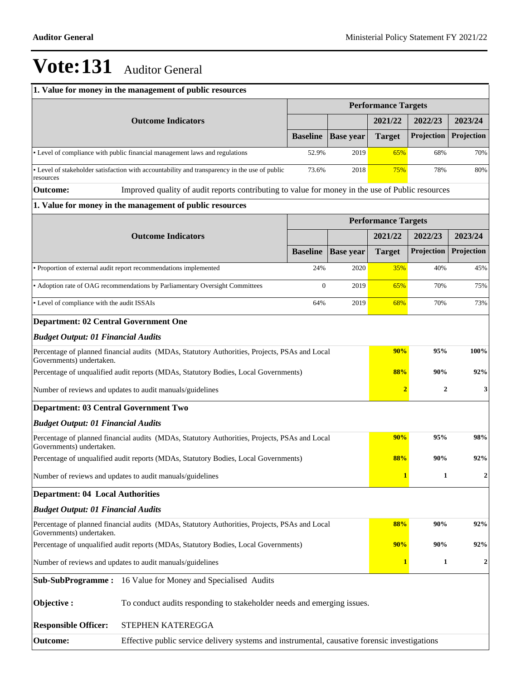|                                                           | 1. Value for money in the management of public resources                                         |                  |                  |                            |                  |                  |  |
|-----------------------------------------------------------|--------------------------------------------------------------------------------------------------|------------------|------------------|----------------------------|------------------|------------------|--|
|                                                           |                                                                                                  |                  |                  | <b>Performance Targets</b> |                  |                  |  |
|                                                           | <b>Outcome Indicators</b>                                                                        |                  |                  | 2021/22                    | 2022/23          | 2023/24          |  |
|                                                           | <b>Baseline</b>                                                                                  | <b>Base year</b> | <b>Target</b>    | Projection                 | Projection       |                  |  |
|                                                           | • Level of compliance with public financial management laws and regulations                      | 52.9%            | 2019             | 65%                        | 68%              | 70%              |  |
| resources                                                 | • Level of stakeholder satisfaction with accountability and transparency in the use of public    | 73.6%            | 2018             | 75%                        | 78%              | 80%              |  |
| <b>Outcome:</b>                                           | Improved quality of audit reports contributing to value for money in the use of Public resources |                  |                  |                            |                  |                  |  |
|                                                           | 1. Value for money in the management of public resources                                         |                  |                  |                            |                  |                  |  |
|                                                           |                                                                                                  |                  |                  | <b>Performance Targets</b> |                  |                  |  |
|                                                           | <b>Outcome Indicators</b>                                                                        |                  |                  | 2021/22                    | 2022/23          | 2023/24          |  |
|                                                           |                                                                                                  | <b>Baseline</b>  | <b>Base</b> year | <b>Target</b>              | Projection       | Projection       |  |
|                                                           | • Proportion of external audit report recommendations implemented                                | 24%              | 2020             | 35%                        | 40%              | 45%              |  |
|                                                           | • Adoption rate of OAG recommendations by Parliamentary Oversight Committees                     | $\overline{0}$   | 2019             | 65%                        | 70%              | 75%              |  |
| • Level of compliance with the audit ISSAIs               |                                                                                                  | 64%              | 2019             | 68%                        | 70%              | 73%              |  |
| <b>Department: 02 Central Government One</b>              |                                                                                                  |                  |                  |                            |                  |                  |  |
| <b>Budget Output: 01 Financial Audits</b>                 |                                                                                                  |                  |                  |                            |                  |                  |  |
| Governments) undertaken.                                  | Percentage of planned financial audits (MDAs, Statutory Authorities, Projects, PSAs and Local    |                  |                  | 90%                        | 95%              | 100%             |  |
|                                                           | Percentage of unqualified audit reports (MDAs, Statutory Bodies, Local Governments)              |                  |                  | 88%                        | 90%              | 92%              |  |
|                                                           | Number of reviews and updates to audit manuals/guidelines                                        |                  |                  | $\overline{2}$             | $\boldsymbol{2}$ | 3                |  |
| <b>Department: 03 Central Government Two</b>              |                                                                                                  |                  |                  |                            |                  |                  |  |
| <b>Budget Output: 01 Financial Audits</b>                 |                                                                                                  |                  |                  |                            |                  |                  |  |
| Governments) undertaken.                                  | Percentage of planned financial audits (MDAs, Statutory Authorities, Projects, PSAs and Local    |                  |                  | 90%                        | 95%              | 98%              |  |
|                                                           | Percentage of unqualified audit reports (MDAs, Statutory Bodies, Local Governments)              |                  |                  | 88%                        | 90%              | 92%              |  |
|                                                           | Number of reviews and updates to audit manuals/guidelines                                        |                  |                  | $\mathbf{1}$               | $\mathbf{1}$     | $\boldsymbol{2}$ |  |
| <b>Department: 04 Local Authorities</b>                   |                                                                                                  |                  |                  |                            |                  |                  |  |
| <b>Budget Output: 01 Financial Audits</b>                 |                                                                                                  |                  |                  |                            |                  |                  |  |
| Governments) undertaken.                                  | Percentage of planned financial audits (MDAs, Statutory Authorities, Projects, PSAs and Local    |                  |                  | 88%                        | 90%              | 92%              |  |
|                                                           | Percentage of unqualified audit reports (MDAs, Statutory Bodies, Local Governments)              |                  |                  | 90%                        | 90%              | 92%              |  |
| Number of reviews and updates to audit manuals/guidelines |                                                                                                  |                  | $\mathbf{1}$     | $\boldsymbol{2}$           |                  |                  |  |
|                                                           | Sub-SubProgramme: 16 Value for Money and Specialised Audits                                      |                  |                  |                            |                  |                  |  |
| Objective:                                                | To conduct audits responding to stakeholder needs and emerging issues.                           |                  |                  |                            |                  |                  |  |
| <b>Responsible Officer:</b>                               | STEPHEN KATEREGGA                                                                                |                  |                  |                            |                  |                  |  |
| <b>Outcome:</b>                                           | Effective public service delivery systems and instrumental, causative forensic investigations    |                  |                  |                            |                  |                  |  |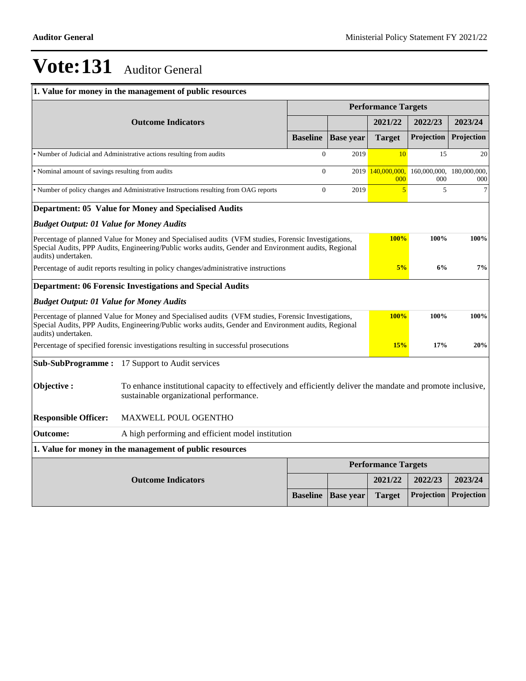|                                                   | 1. Value for money in the management of public resources                                                                                                                                                    |                            |                  |                            |            |                                  |  |
|---------------------------------------------------|-------------------------------------------------------------------------------------------------------------------------------------------------------------------------------------------------------------|----------------------------|------------------|----------------------------|------------|----------------------------------|--|
|                                                   |                                                                                                                                                                                                             | <b>Performance Targets</b> |                  |                            |            |                                  |  |
|                                                   | <b>Outcome Indicators</b>                                                                                                                                                                                   |                            |                  | 2021/22                    | 2022/23    | 2023/24                          |  |
|                                                   |                                                                                                                                                                                                             | <b>Baseline</b>            | <b>Base</b> year | <b>Target</b>              | Projection | Projection                       |  |
|                                                   | • Number of Judicial and Administrative actions resulting from audits                                                                                                                                       | $\overline{0}$             | 2019             | 10                         | 15         | 20                               |  |
| • Nominal amount of savings resulting from audits |                                                                                                                                                                                                             | $\Omega$                   | 2019             | 140,000,000,<br>000        | 000        | 160,000,000, 180,000,000,<br>000 |  |
|                                                   | • Number of policy changes and Administrative Instructions resulting from OAG reports                                                                                                                       | $\overline{0}$             | 2019             | 5                          | 5          | $\overline{7}$                   |  |
|                                                   | Department: 05 Value for Money and Specialised Audits                                                                                                                                                       |                            |                  |                            |            |                                  |  |
| <b>Budget Output: 01 Value for Money Audits</b>   |                                                                                                                                                                                                             |                            |                  |                            |            |                                  |  |
|                                                   | Percentage of planned Value for Money and Specialised audits (VFM studies, Forensic Investigations,<br>Special Audits, PPP Audits, Engineering/Public works audits, Gender and Environment audits, Regional |                            |                  | <b>100%</b>                | 100%       | 100%                             |  |
| audits) undertaken.                               |                                                                                                                                                                                                             |                            |                  |                            |            |                                  |  |
|                                                   | Percentage of audit reports resulting in policy changes/administrative instructions                                                                                                                         |                            |                  | 5%                         | 6%         | 7%                               |  |
|                                                   | <b>Department: 06 Forensic Investigations and Special Audits</b>                                                                                                                                            |                            |                  |                            |            |                                  |  |
| <b>Budget Output: 01 Value for Money Audits</b>   |                                                                                                                                                                                                             |                            |                  |                            |            |                                  |  |
| audits) undertaken.                               | Percentage of planned Value for Money and Specialised audits (VFM studies, Forensic Investigations,<br>Special Audits, PPP Audits, Engineering/Public works audits, Gender and Environment audits, Regional |                            |                  | <b>100%</b>                | 100%       | 100%                             |  |
|                                                   | Percentage of specified forensic investigations resulting in successful prosecutions                                                                                                                        |                            |                  | 15%                        | 17%        | 20%                              |  |
| <b>Sub-SubProgramme:</b>                          | 17 Support to Audit services                                                                                                                                                                                |                            |                  |                            |            |                                  |  |
| Objective:                                        | To enhance institutional capacity to effectively and efficiently deliver the mandate and promote inclusive,<br>sustainable organizational performance.                                                      |                            |                  |                            |            |                                  |  |
| <b>Responsible Officer:</b>                       | MAXWELL POUL OGENTHO                                                                                                                                                                                        |                            |                  |                            |            |                                  |  |
| <b>Outcome:</b>                                   | A high performing and efficient model institution                                                                                                                                                           |                            |                  |                            |            |                                  |  |
|                                                   | 1. Value for money in the management of public resources                                                                                                                                                    |                            |                  |                            |            |                                  |  |
|                                                   |                                                                                                                                                                                                             |                            |                  | <b>Performance Targets</b> |            |                                  |  |
| <b>Outcome Indicators</b>                         |                                                                                                                                                                                                             |                            |                  | 2021/22                    | 2022/23    | 2023/24                          |  |
|                                                   |                                                                                                                                                                                                             | <b>Baseline</b>            | <b>Base year</b> | <b>Target</b>              | Projection | Projection                       |  |
|                                                   |                                                                                                                                                                                                             |                            |                  |                            |            |                                  |  |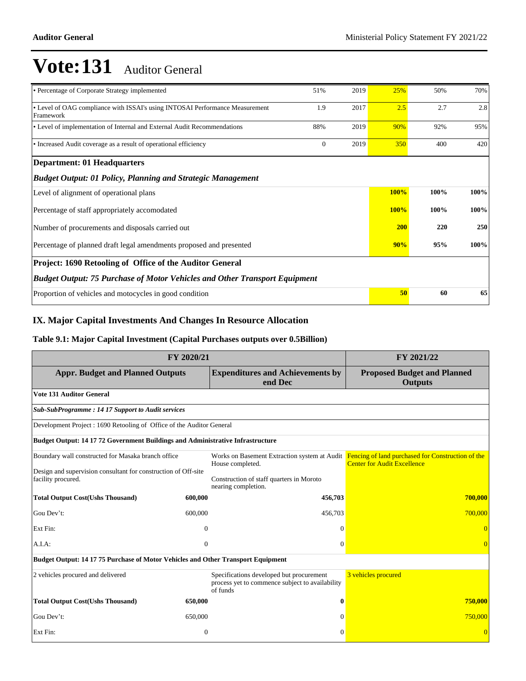| • Percentage of Corporate Strategy implemented                                            | 51%            | 2019 | 25%         | 50%  | 70%  |  |  |  |  |
|-------------------------------------------------------------------------------------------|----------------|------|-------------|------|------|--|--|--|--|
| • Level of OAG compliance with ISSAI's using INTOSAI Performance Measurement<br>Framework | 1.9            | 2017 | 2.5         | 2.7  | 2.8  |  |  |  |  |
| • Level of implementation of Internal and External Audit Recommendations                  | 88%            | 2019 | 90%         | 92%  | 95%  |  |  |  |  |
| • Increased Audit coverage as a result of operational efficiency                          | $\overline{0}$ | 2019 | 350         | 400  | 420  |  |  |  |  |
| <b>Department: 01 Headquarters</b>                                                        |                |      |             |      |      |  |  |  |  |
| <b>Budget Output: 01 Policy, Planning and Strategic Management</b>                        |                |      |             |      |      |  |  |  |  |
| Level of alignment of operational plans                                                   |                |      | 100%        | 100% | 100% |  |  |  |  |
| Percentage of staff appropriately accomodated                                             |                |      | <b>100%</b> | 100% | 100% |  |  |  |  |
| Number of procurements and disposals carried out                                          |                |      | <b>200</b>  | 220  | 250  |  |  |  |  |
| Percentage of planned draft legal amendments proposed and presented                       | 90%            | 95%  | 100%        |      |      |  |  |  |  |
| Project: 1690 Retooling of Office of the Auditor General                                  |                |      |             |      |      |  |  |  |  |
| <b>Budget Output: 75 Purchase of Motor Vehicles and Other Transport Equipment</b>         |                |      |             |      |      |  |  |  |  |
| Proportion of vehicles and motocycles in good condition                                   |                |      | 50          | 60   | 65   |  |  |  |  |

#### **IX. Major Capital Investments And Changes In Resource Allocation**

#### **Table 9.1: Major Capital Investment (Capital Purchases outputs over 0.5Billion)**

| FY 2020/21                                                                                                           | FY 2021/22   |                                                                                                         |                                                                                                                                      |  |  |  |  |  |  |
|----------------------------------------------------------------------------------------------------------------------|--------------|---------------------------------------------------------------------------------------------------------|--------------------------------------------------------------------------------------------------------------------------------------|--|--|--|--|--|--|
| <b>Appr. Budget and Planned Outputs</b>                                                                              |              | <b>Expenditures and Achievements by</b><br>end Dec                                                      | <b>Proposed Budget and Planned</b><br><b>Outputs</b>                                                                                 |  |  |  |  |  |  |
| <b>Vote 131 Auditor General</b>                                                                                      |              |                                                                                                         |                                                                                                                                      |  |  |  |  |  |  |
| <b>Sub-SubProgramme: 14 17 Support to Audit services</b>                                                             |              |                                                                                                         |                                                                                                                                      |  |  |  |  |  |  |
| Development Project : 1690 Retooling of Office of the Auditor General                                                |              |                                                                                                         |                                                                                                                                      |  |  |  |  |  |  |
| <b>Budget Output: 14 17 72 Government Buildings and Administrative Infrastructure</b>                                |              |                                                                                                         |                                                                                                                                      |  |  |  |  |  |  |
| Boundary wall constructed for Masaka branch office<br>Design and supervision consultant for construction of Off-site |              | House completed.                                                                                        | Works on Basement Extraction system at Audit Fencing of land purchased for Construction of the<br><b>Center for Audit Excellence</b> |  |  |  |  |  |  |
| facility procured.                                                                                                   |              | Construction of staff quarters in Moroto<br>nearing completion.                                         |                                                                                                                                      |  |  |  |  |  |  |
| <b>Total Output Cost(Ushs Thousand)</b>                                                                              | 600,000      | 456,703                                                                                                 | 700,000                                                                                                                              |  |  |  |  |  |  |
| Gou Dev't:                                                                                                           | 600,000      | 456,703                                                                                                 | 700,000                                                                                                                              |  |  |  |  |  |  |
| Ext Fin:                                                                                                             | $\Omega$     | $\Omega$                                                                                                |                                                                                                                                      |  |  |  |  |  |  |
| A.I.A.                                                                                                               | $\mathbf{0}$ | $\Omega$                                                                                                | $\overline{0}$                                                                                                                       |  |  |  |  |  |  |
| Budget Output: 14 17 75 Purchase of Motor Vehicles and Other Transport Equipment                                     |              |                                                                                                         |                                                                                                                                      |  |  |  |  |  |  |
| 2 vehicles procured and delivered                                                                                    |              | Specifications developed but procurement<br>process yet to commence subject to availability<br>of funds | 3 vehicles procured                                                                                                                  |  |  |  |  |  |  |
| <b>Total Output Cost(Ushs Thousand)</b>                                                                              | 650,000      | $\bf{0}$                                                                                                | 750,000                                                                                                                              |  |  |  |  |  |  |
| Gou Dev't:                                                                                                           | 650,000      | $\Omega$                                                                                                | 750,000                                                                                                                              |  |  |  |  |  |  |
| Ext Fin:                                                                                                             | $\mathbf{0}$ | $\Omega$                                                                                                |                                                                                                                                      |  |  |  |  |  |  |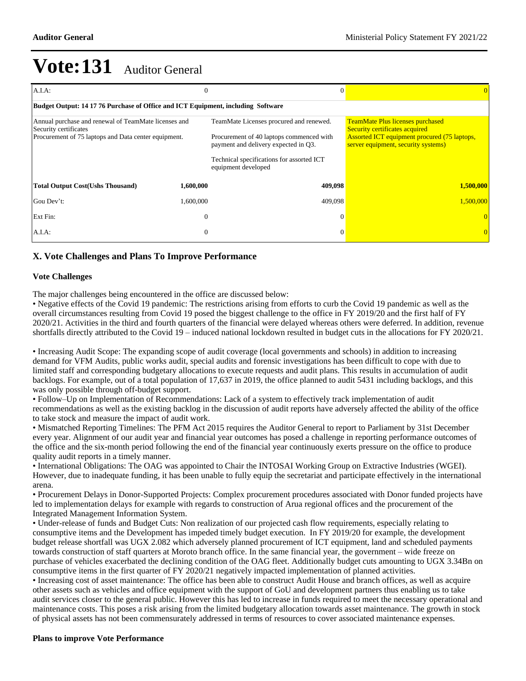| $A.I.A$ :                                                                                                                             | 0              | $\Omega$                                                                                                                    |                                                                                                                                                                                |  |  |  |  |  |  |
|---------------------------------------------------------------------------------------------------------------------------------------|----------------|-----------------------------------------------------------------------------------------------------------------------------|--------------------------------------------------------------------------------------------------------------------------------------------------------------------------------|--|--|--|--|--|--|
| Budget Output: 14 17 76 Purchase of Office and ICT Equipment, including Software                                                      |                |                                                                                                                             |                                                                                                                                                                                |  |  |  |  |  |  |
| Annual purchase and renewal of TeamMate licenses and<br>Security certificates<br>Procurement of 75 laptops and Data center equipment. |                | TeamMate Licenses procured and renewed.<br>Procurement of 40 laptops commenced with<br>payment and delivery expected in Q3. | <b>TeamMate Plus licenses purchased</b><br><b>Security certificates acquired</b><br><b>Assorted ICT equipment procured (75 laptops,</b><br>server equipment, security systems) |  |  |  |  |  |  |
|                                                                                                                                       |                | Technical specifications for assorted ICT<br>equipment developed                                                            |                                                                                                                                                                                |  |  |  |  |  |  |
| <b>Total Output Cost(Ushs Thousand)</b>                                                                                               | 1,600,000      | 409,098                                                                                                                     | 1,500,000                                                                                                                                                                      |  |  |  |  |  |  |
| Gou Dev't:                                                                                                                            | 1,600,000      | 409,098                                                                                                                     | 1,500,000                                                                                                                                                                      |  |  |  |  |  |  |
| Ext Fin:                                                                                                                              | $\overline{0}$ | $\Omega$                                                                                                                    |                                                                                                                                                                                |  |  |  |  |  |  |
| $A.I.A$ :                                                                                                                             | $\theta$       | $\Omega$                                                                                                                    |                                                                                                                                                                                |  |  |  |  |  |  |

### **X. Vote Challenges and Plans To Improve Performance**

#### **Vote Challenges**

The major challenges being encountered in the office are discussed below:

Negative effects of the Covid 19 pandemic: The restrictions arising from efforts to curb the Covid 19 pandemic as well as the overall circumstances resulting from Covid 19 posed the biggest challenge to the office in FY 2019/20 and the first half of FY 2020/21. Activities in the third and fourth quarters of the financial were delayed whereas others were deferred. In addition, revenue shortfalls directly attributed to the Covid 19 - induced national lockdown resulted in budget cuts in the allocations for FY 2020/21.

Increasing Audit Scope: The expanding scope of audit coverage (local governments and schools) in addition to increasing demand for VFM Audits, public works audit, special audits and forensic investigations has been difficult to cope with due to limited staff and corresponding budgetary allocations to execute requests and audit plans. This results in accumulation of audit backlogs. For example, out of a total population of 17,637 in 2019, the office planned to audit 5431 including backlogs, and this was only possible through off-budget support.

Follow±Up on Implementation of Recommendations: Lack of a system to effectively track implementation of audit recommendations as well as the existing backlog in the discussion of audit reports have adversely affected the ability of the office to take stock and measure the impact of audit work.

Mismatched Reporting Timelines: The PFM Act 2015 requires the Auditor General to report to Parliament by 31st December every year. Alignment of our audit year and financial year outcomes has posed a challenge in reporting performance outcomes of the office and the six-month period following the end of the financial year continuously exerts pressure on the office to produce quality audit reports in a timely manner.

International Obligations: The OAG was appointed to Chair the INTOSAI Working Group on Extractive Industries (WGEI). However, due to inadequate funding, it has been unable to fully equip the secretariat and participate effectively in the international arena.

Procurement Delays in Donor-Supported Projects: Complex procurement procedures associated with Donor funded projects have led to implementation delays for example with regards to construction of Arua regional offices and the procurement of the Integrated Management Information System.

Under-release of funds and Budget Cuts: Non realization of our projected cash flow requirements, especially relating to consumptive items and the Development has impeded timely budget execution. In FY 2019/20 for example, the development budget release shortfall was UGX 2.082 which adversely planned procurement of ICT equipment, land and scheduled payments towards construction of staff quarters at Moroto branch office. In the same financial year, the government – wide freeze on purchase of vehicles exacerbated the declining condition of the OAG fleet. Additionally budget cuts amounting to UGX 3.34Bn on consumptive items in the first quarter of FY 2020/21 negatively impacted implementation of planned activities.

Increasing cost of asset maintenance: The office has been able to construct Audit House and branch offices, as well as acquire other assets such as vehicles and office equipment with the support of GoU and development partners thus enabling us to take audit services closer to the general public. However this has led to increase in funds required to meet the necessary operational and maintenance costs. This poses a risk arising from the limited budgetary allocation towards asset maintenance. The growth in stock of physical assets has not been commensurately addressed in terms of resources to cover associated maintenance expenses.

#### **Plans to improve Vote Performance**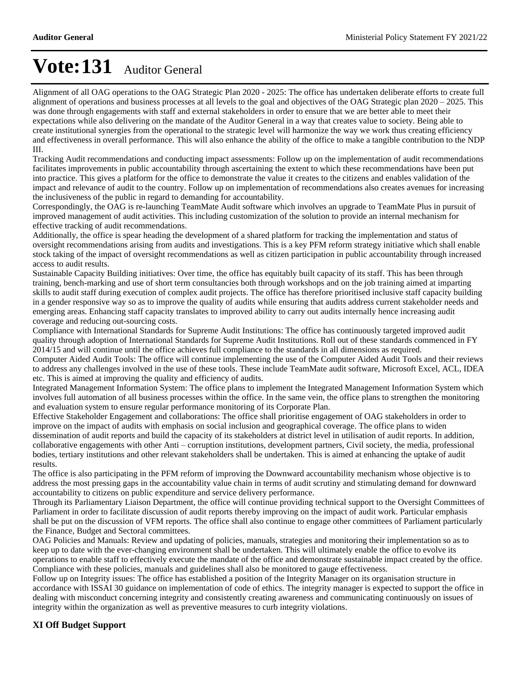Alignment of all OAG operations to the OAG Strategic Plan 2020 - 2025: The office has undertaken deliberate efforts to create full alignment of operations and business processes at all levels to the goal and objectives of the OAG Strategic plan  $2020-2025$ . This was done through engagements with staff and external stakeholders in order to ensure that we are better able to meet their expectations while also delivering on the mandate of the Auditor General in a way that creates value to society. Being able to create institutional synergies from the operational to the strategic level will harmonize the way we work thus creating efficiency and effectiveness in overall performance. This will also enhance the ability of the office to make a tangible contribution to the NDP III.

Tracking Audit recommendations and conducting impact assessments: Follow up on the implementation of audit recommendations facilitates improvements in public accountability through ascertaining the extent to which these recommendations have been put into practice. This gives a platform for the office to demonstrate the value it creates to the citizens and enables validation of the impact and relevance of audit to the country. Follow up on implementation of recommendations also creates avenues for increasing the inclusiveness of the public in regard to demanding for accountability.

Correspondingly, the OAG is re-launching TeamMate Audit software which involves an upgrade to TeamMate Plus in pursuit of improved management of audit activities. This including customization of the solution to provide an internal mechanism for effective tracking of audit recommendations.

Additionally, the office is spear heading the development of a shared platform for tracking the implementation and status of oversight recommendations arising from audits and investigations. This is a key PFM reform strategy initiative which shall enable stock taking of the impact of oversight recommendations as well as citizen participation in public accountability through increased access to audit results.

Sustainable Capacity Building initiatives: Over time, the office has equitably built capacity of its staff. This has been through training, bench-marking and use of short term consultancies both through workshops and on the job training aimed at imparting skills to audit staff during execution of complex audit projects. The office has therefore prioritised inclusive staff capacity building in a gender responsive way so as to improve the quality of audits while ensuring that audits address current stakeholder needs and emerging areas. Enhancing staff capacity translates to improved ability to carry out audits internally hence increasing audit coverage and reducing out-sourcing costs.

Compliance with International Standards for Supreme Audit Institutions: The office has continuously targeted improved audit quality through adoption of International Standards for Supreme Audit Institutions. Roll out of these standards commenced in FY 2014/15 and will continue until the office achieves full compliance to the standards in all dimensions as required.

Computer Aided Audit Tools: The office will continue implementing the use of the Computer Aided Audit Tools and their reviews to address any challenges involved in the use of these tools. These include TeamMate audit software, Microsoft Excel, ACL, IDEA etc. This is aimed at improving the quality and efficiency of audits.

Integrated Management Information System: The office plans to implement the Integrated Management Information System which involves full automation of all business processes within the office. In the same vein, the office plans to strengthen the monitoring and evaluation system to ensure regular performance monitoring of its Corporate Plan.

Effective Stakeholder Engagement and collaborations: The office shall prioritise engagement of OAG stakeholders in order to improve on the impact of audits with emphasis on social inclusion and geographical coverage. The office plans to widen dissemination of audit reports and build the capacity of its stakeholders at district level in utilisation of audit reports. In addition, collaborative engagements with other Anti – corruption institutions, development partners, Civil society, the media, professional bodies, tertiary institutions and other relevant stakeholders shall be undertaken. This is aimed at enhancing the uptake of audit results.

The office is also participating in the PFM reform of improving the Downward accountability mechanism whose objective is to address the most pressing gaps in the accountability value chain in terms of audit scrutiny and stimulating demand for downward accountability to citizens on public expenditure and service delivery performance.

Through its Parliamentary Liaison Department, the office will continue providing technical support to the Oversight Committees of Parliament in order to facilitate discussion of audit reports thereby improving on the impact of audit work. Particular emphasis shall be put on the discussion of VFM reports. The office shall also continue to engage other committees of Parliament particularly the Finance, Budget and Sectoral committees.

OAG Policies and Manuals: Review and updating of policies, manuals, strategies and monitoring their implementation so as to keep up to date with the ever-changing environment shall be undertaken. This will ultimately enable the office to evolve its operations to enable staff to effectively execute the mandate of the office and demonstrate sustainable impact created by the office. Compliance with these policies, manuals and guidelines shall also be monitored to gauge effectiveness.

Follow up on Integrity issues: The office has established a position of the Integrity Manager on its organisation structure in accordance with ISSAI 30 guidance on implementation of code of ethics. The integrity manager is expected to support the office in dealing with misconduct concerning integrity and consistently creating awareness and communicating continuously on issues of integrity within the organization as well as preventive measures to curb integrity violations.

### **XI Off Budget Support**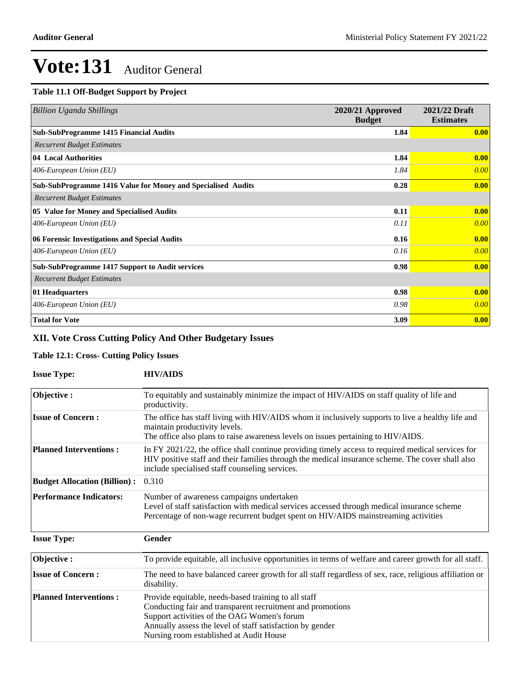### **Table 11.1 Off-Budget Support by Project**

| <b>Billion Uganda Shillings</b>                              | 2020/21 Approved<br><b>Budget</b> | 2021/22 Draft<br><b>Estimates</b> |
|--------------------------------------------------------------|-----------------------------------|-----------------------------------|
| <b>Sub-SubProgramme 1415 Financial Audits</b>                | 1.84                              | 0.00                              |
| <b>Recurrent Budget Estimates</b>                            |                                   |                                   |
| 04 Local Authorities                                         | 1.84                              | 0.00                              |
| 406-European Union (EU)                                      | 1.84                              | 0.00                              |
| Sub-SubProgramme 1416 Value for Money and Specialised Audits | 0.28                              | 0.00                              |
| <b>Recurrent Budget Estimates</b>                            |                                   |                                   |
| 05 Value for Money and Specialised Audits                    | 0.11                              | 0.00                              |
| 406-European Union (EU)                                      | 0.11                              | 0.00                              |
| 06 Forensic Investigations and Special Audits                | 0.16                              | 0.00                              |
| 406-European Union (EU)                                      | 0.16                              | 0.00                              |
| <b>Sub-SubProgramme 1417 Support to Audit services</b>       | 0.98                              | 0.00                              |
| <b>Recurrent Budget Estimates</b>                            |                                   |                                   |
| 01 Headquarters                                              | 0.98                              | 0.00                              |
| 406-European Union (EU)                                      | 0.98                              | 0.00                              |
| <b>Total for Vote</b>                                        | 3.09                              | 0.00                              |

### **XII. Vote Cross Cutting Policy And Other Budgetary Issues**

### **Table 12.1: Cross- Cutting Policy Issues**

| <b>Issue Type:</b>                  | <b>HIV/AIDS</b>                                                                                                                                                                                                                                                           |
|-------------------------------------|---------------------------------------------------------------------------------------------------------------------------------------------------------------------------------------------------------------------------------------------------------------------------|
| Objective:                          | To equitably and sustainably minimize the impact of HIV/AIDS on staff quality of life and<br>productivity.                                                                                                                                                                |
| <b>Issue of Concern:</b>            | The office has staff living with HIV/AIDS whom it inclusively supports to live a healthy life and<br>maintain productivity levels.<br>The office also plans to raise awareness levels on issues pertaining to HIV/AIDS.                                                   |
| <b>Planned Interventions:</b>       | In FY 2021/22, the office shall continue providing timely access to required medical services for<br>HIV positive staff and their families through the medical insurance scheme. The cover shall also<br>include specialised staff counseling services.                   |
| <b>Budget Allocation (Billion):</b> | 0.310                                                                                                                                                                                                                                                                     |
| <b>Performance Indicators:</b>      | Number of awareness campaigns undertaken<br>Level of staff satisfaction with medical services accessed through medical insurance scheme<br>Percentage of non-wage recurrent budget spent on HIV/AIDS mainstreaming activities                                             |
| <b>Issue Type:</b>                  | <b>Gender</b>                                                                                                                                                                                                                                                             |
| Objective:                          | To provide equitable, all inclusive opportunities in terms of welfare and career growth for all staff.                                                                                                                                                                    |
| <b>Issue of Concern:</b>            | The need to have balanced career growth for all staff regardless of sex, race, religious affiliation or<br>disability.                                                                                                                                                    |
| <b>Planned Interventions:</b>       | Provide equitable, needs-based training to all staff<br>Conducting fair and transparent recruitment and promotions<br>Support activities of the OAG Women's forum<br>Annually assess the level of staff satisfaction by gender<br>Nursing room established at Audit House |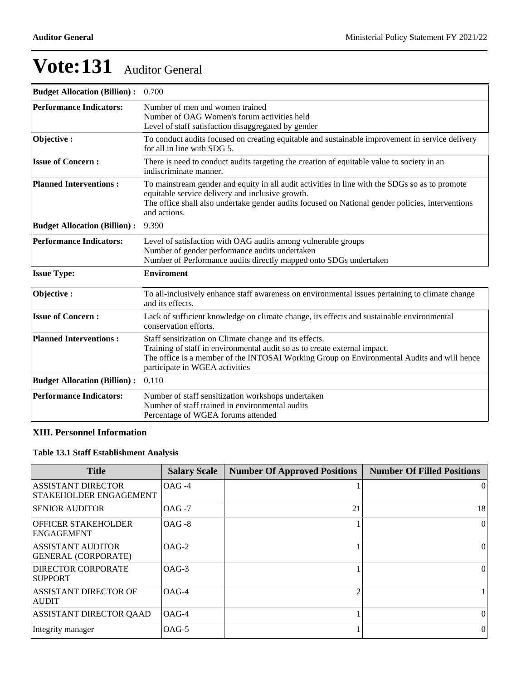| <b>Budget Allocation (Billion):</b> | 0.700                                                                                                                                                                                                                                                                  |  |  |  |
|-------------------------------------|------------------------------------------------------------------------------------------------------------------------------------------------------------------------------------------------------------------------------------------------------------------------|--|--|--|
| <b>Performance Indicators:</b>      | Number of men and women trained<br>Number of OAG Women's forum activities held<br>Level of staff satisfaction disaggregated by gender                                                                                                                                  |  |  |  |
| Objective:                          | To conduct audits focused on creating equitable and sustainable improvement in service delivery<br>for all in line with SDG 5.                                                                                                                                         |  |  |  |
| <b>Issue of Concern:</b>            | There is need to conduct audits targeting the creation of equitable value to society in an<br>indiscriminate manner.                                                                                                                                                   |  |  |  |
| <b>Planned Interventions:</b>       | To mainstream gender and equity in all audit activities in line with the SDGs so as to promote<br>equitable service delivery and inclusive growth.<br>The office shall also undertake gender audits focused on National gender policies, interventions<br>and actions. |  |  |  |
| <b>Budget Allocation (Billion):</b> | 9.390                                                                                                                                                                                                                                                                  |  |  |  |
| <b>Performance Indicators:</b>      | Level of satisfaction with OAG audits among vulnerable groups<br>Number of gender performance audits undertaken<br>Number of Performance audits directly mapped onto SDGs undertaken                                                                                   |  |  |  |
| <b>Issue Type:</b>                  | <b>Enviroment</b>                                                                                                                                                                                                                                                      |  |  |  |
| Objective:                          | To all-inclusively enhance staff awareness on environmental issues pertaining to climate change<br>and its effects.                                                                                                                                                    |  |  |  |
| <b>Issue of Concern:</b>            | Lack of sufficient knowledge on climate change, its effects and sustainable environmental<br>conservation efforts.                                                                                                                                                     |  |  |  |
| <b>Planned Interventions:</b>       | Staff sensitization on Climate change and its effects.<br>Training of staff in environmental audit so as to create external impact.<br>The office is a member of the INTOSAI Working Group on Environmental Audits and will hence<br>participate in WGEA activities    |  |  |  |
| <b>Budget Allocation (Billion):</b> | 0.110                                                                                                                                                                                                                                                                  |  |  |  |
| <b>Performance Indicators:</b>      | Number of staff sensitization workshops undertaken<br>Number of staff trained in environmental audits<br>Percentage of WGEA forums attended                                                                                                                            |  |  |  |

### **XIII. Personnel Information**

### **Table 13.1 Staff Establishment Analysis**

| <b>Title</b>                                           | <b>Salary Scale</b> | <b>Number Of Approved Positions</b> | <b>Number Of Filled Positions</b> |
|--------------------------------------------------------|---------------------|-------------------------------------|-----------------------------------|
| <b>ASSISTANT DIRECTOR</b><br>STAKEHOLDER ENGAGEMENT    | $OAG -4$            |                                     | $\vert$ 0                         |
| <b>SENIOR AUDITOR</b>                                  | $OAG - 7$           | 21                                  | 18                                |
| <b>OFFICER STAKEHOLDER</b><br><b>ENGAGEMENT</b>        | $OAG - 8$           |                                     | $\vert$ 0                         |
| <b>ASSISTANT AUDITOR</b><br><b>GENERAL (CORPORATE)</b> | $OAG-2$             |                                     | $\vert$ 0                         |
| <b>DIRECTOR CORPORATE</b><br><b>SUPPORT</b>            | $OAG-3$             |                                     | $\vert$                           |
| <b>ASSISTANT DIRECTOR OF</b><br><b>AUDIT</b>           | $OAG-4$             |                                     |                                   |
| <b>ASSISTANT DIRECTOR QAAD</b>                         | $OAG-4$             |                                     | 0                                 |
| Integrity manager                                      | $OAG-5$             |                                     | $\theta$                          |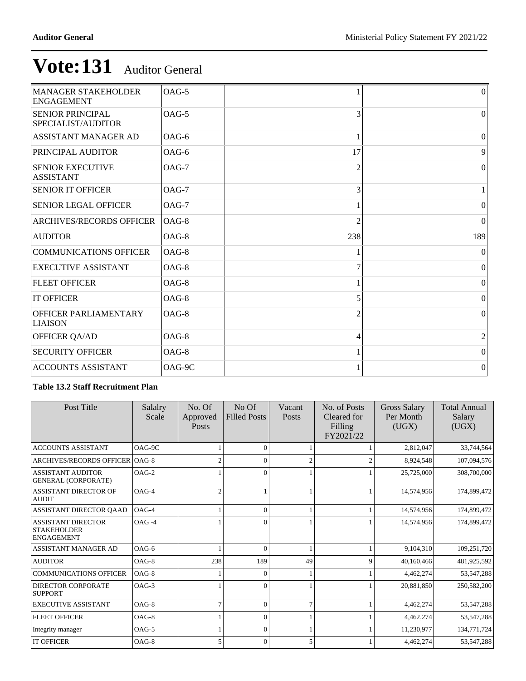| <b>MANAGER STAKEHOLDER</b><br><b>ENGAGEMENT</b> | $OAG-5$  |                | 0               |
|-------------------------------------------------|----------|----------------|-----------------|
| <b>SENIOR PRINCIPAL</b><br>SPECIALIST/AUDITOR   | OAG-5    | 3              | $\vert 0 \vert$ |
| <b>ASSISTANT MANAGER AD</b>                     | $OAG-6$  |                | $\Omega$        |
| <b>PRINCIPAL AUDITOR</b>                        | $OAG-6$  | 17             | 9               |
| <b>SENIOR EXECUTIVE</b><br><b>ASSISTANT</b>     | $OAG-7$  | 2              | $\Omega$        |
| <b>SENIOR IT OFFICER</b>                        | $OAG-7$  | 3              |                 |
| <b>SENIOR LEGAL OFFICER</b>                     | $OAG-7$  |                | 0               |
| <b>ARCHIVES/RECORDS OFFICER</b>                 | $OAG-8$  | $\mathfrak{D}$ | 0               |
| <b>AUDITOR</b>                                  | OAG-8    | 238            | 189             |
| <b>COMMUNICATIONS OFFICER</b>                   | $OAG-8$  |                | $\vert$ 0       |
| <b>EXECUTIVE ASSISTANT</b>                      | $OAG-8$  | 7              | $\vert$ 0       |
| <b>FLEET OFFICER</b>                            | $OAG-8$  |                | $\vert$ 0       |
| <b>IT OFFICER</b>                               | OAG-8    | 5              | 0               |
| <b>OFFICER PARLIAMENTARY</b><br><b>LIAISON</b>  | $OAG-8$  |                | $\Omega$        |
| <b>OFFICER QA/AD</b>                            | $OAG-8$  | 4              | $\overline{c}$  |
| <b>SECURITY OFFICER</b>                         | $OAG-8$  |                | $\vert 0 \vert$ |
| <b>ACCOUNTS ASSISTANT</b>                       | $OAG-9C$ |                | $\vert 0 \vert$ |

### **Table 13.2 Staff Recruitment Plan**

| Post Title                                                           | Salalry<br>Scale | No. Of<br>Approved<br><b>Posts</b> | No <sub>Of</sub><br><b>Filled Posts</b> | Vacant<br><b>Posts</b> | No. of Posts<br>Cleared for<br>Filling<br>FY2021/22 | Gross Salary<br>Per Month<br>(UGX) | <b>Total Annual</b><br>Salary<br>(UGX) |
|----------------------------------------------------------------------|------------------|------------------------------------|-----------------------------------------|------------------------|-----------------------------------------------------|------------------------------------|----------------------------------------|
| <b>ACCOUNTS ASSISTANT</b>                                            | OAG-9C           |                                    | $\Omega$                                |                        |                                                     | 2,812,047                          | 33,744,564                             |
| ARCHIVES/RECORDS OFFICER   OAG-8                                     |                  | $\mathfrak{2}$                     | $\Omega$                                |                        |                                                     | 8,924,548                          | 107,094,576                            |
| <b>ASSISTANT AUDITOR</b><br><b>GENERAL (CORPORATE)</b>               | $OAG-2$          |                                    | $\Omega$                                |                        |                                                     | 25,725,000                         | 308,700,000                            |
| <b>ASSISTANT DIRECTOR OF</b><br><b>AUDIT</b>                         | $OAG-4$          | $\overline{c}$                     |                                         |                        |                                                     | 14,574,956                         | 174,899,472                            |
| ASSISTANT DIRECTOR OAAD                                              | $OAG-4$          |                                    | $\Omega$                                |                        |                                                     | 14,574,956                         | 174,899,472                            |
| <b>ASSISTANT DIRECTOR</b><br><b>STAKEHOLDER</b><br><b>ENGAGEMENT</b> | $OAG -4$         |                                    | $\Omega$                                |                        |                                                     | 14,574,956                         | 174,899,472                            |
| ASSISTANT MANAGER AD                                                 | $OAG-6$          |                                    | $\Omega$                                |                        |                                                     | 9.104.310                          | 109,251,720                            |
| <b>AUDITOR</b>                                                       | $OAG-8$          | 238                                | 189                                     | 49                     | $\mathbf Q$                                         | 40,160,466                         | 481,925,592                            |
| <b>COMMUNICATIONS OFFICER</b>                                        | OAG-8            |                                    | $\Omega$                                |                        |                                                     | 4,462,274                          | 53, 547, 288                           |
| <b>DIRECTOR CORPORATE</b><br><b>SUPPORT</b>                          | $OAG-3$          |                                    | $\Omega$                                |                        |                                                     | 20,881,850                         | 250,582,200                            |
| <b>EXECUTIVE ASSISTANT</b>                                           | $OAG-8$          | $\overline{7}$                     | $\Omega$                                |                        |                                                     | 4,462,274                          | 53,547,288                             |
| <b>FLEET OFFICER</b>                                                 | $OAG-8$          |                                    | $\Omega$                                |                        |                                                     | 4,462,274                          | 53, 547, 288                           |
| Integrity manager                                                    | $OAG-5$          |                                    | $\Omega$                                |                        |                                                     | 11,230,977                         | 134,771,724                            |
| <b>IT OFFICER</b>                                                    | $OAG-8$          | 5                                  | $\Omega$                                | 5                      |                                                     | 4,462,274                          | 53,547,288                             |